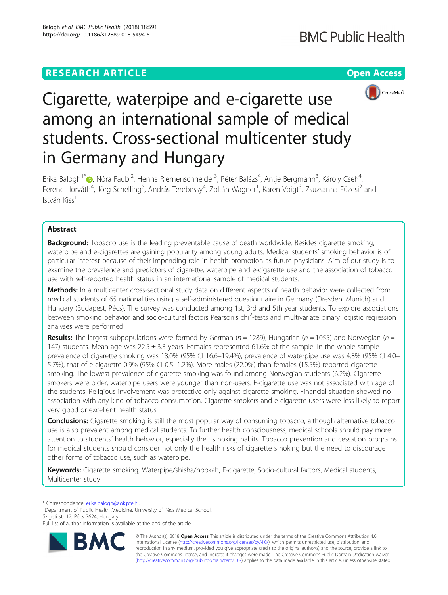## **RESEARCH ARTICLE Example 2018 12:30 THE Open Access**



# Cigarette, waterpipe and e-cigarette use among an international sample of medical students. Cross-sectional multicenter study in Germany and Hungary

Erika Balogh<sup>1\*</sup>�, Nóra Faubl<sup>2</sup>, Henna Riemenschneider<sup>3</sup>, Péter Balázs<sup>4</sup>, Antje Bergmann<sup>3</sup>, Károly Cseh<sup>4</sup> , Ferenc Horváth<sup>4</sup>, Jörg Schelling<sup>5</sup>, András Terebessy<sup>4</sup>, Zoltán Wagner<sup>1</sup>, Karen Voigt<sup>3</sup>, Zsuzsanna Füzesi<sup>2</sup> and István Kiss<sup>1</sup>

## Abstract

**Background:** Tobacco use is the leading preventable cause of death worldwide. Besides cigarette smoking, waterpipe and e-cigarettes are gaining popularity among young adults. Medical students' smoking behavior is of particular interest because of their impending role in health promotion as future physicians. Aim of our study is to examine the prevalence and predictors of cigarette, waterpipe and e-cigarette use and the association of tobacco use with self-reported health status in an international sample of medical students.

Methods: In a multicenter cross-sectional study data on different aspects of health behavior were collected from medical students of 65 nationalities using a self-administered questionnaire in Germany (Dresden, Munich) and Hungary (Budapest, Pécs). The survey was conducted among 1st, 3rd and 5th year students. To explore associations between smoking behavior and socio-cultural factors Pearson's chi<sup>2</sup>-tests and multivariate binary logistic regression analyses were performed.

**Results:** The largest subpopulations were formed by German ( $n = 1289$ ), Hungarian ( $n = 1055$ ) and Norwegian ( $n = 1056$ ) 147) students. Mean age was 22.5 ± 3.3 years. Females represented 61.6% of the sample. In the whole sample prevalence of cigarette smoking was 18.0% (95% CI 16.6–19.4%), prevalence of waterpipe use was 4.8% (95% CI 4.0– 5.7%), that of e-cigarette 0.9% (95% CI 0.5–1.2%). More males (22.0%) than females (15.5%) reported cigarette smoking. The lowest prevalence of cigarette smoking was found among Norwegian students (6.2%). Cigarette smokers were older, waterpipe users were younger than non-users. E-cigarette use was not associated with age of the students. Religious involvement was protective only against cigarette smoking. Financial situation showed no association with any kind of tobacco consumption. Cigarette smokers and e-cigarette users were less likely to report very good or excellent health status.

**Conclusions:** Cigarette smoking is still the most popular way of consuming tobacco, although alternative tobacco use is also prevalent among medical students. To further health consciousness, medical schools should pay more attention to students' health behavior, especially their smoking habits. Tobacco prevention and cessation programs for medical students should consider not only the health risks of cigarette smoking but the need to discourage other forms of tobacco use, such as waterpipe.

Keywords: Cigarette smoking, Waterpipe/shisha/hookah, E-cigarette, Socio-cultural factors, Medical students, Multicenter study

\* Correspondence: [erika.balogh@aok.pte.hu](mailto:erika.balogh@aok.pte.hu) <sup>1</sup>

<sup>1</sup>Department of Public Health Medicine, University of Pécs Medical School, Szigeti str 12, Pécs 7624, Hungary

Full list of author information is available at the end of the article



© The Author(s). 2018 Open Access This article is distributed under the terms of the Creative Commons Attribution 4.0 International License [\(http://creativecommons.org/licenses/by/4.0/](http://creativecommons.org/licenses/by/4.0/)), which permits unrestricted use, distribution, and reproduction in any medium, provided you give appropriate credit to the original author(s) and the source, provide a link to the Creative Commons license, and indicate if changes were made. The Creative Commons Public Domain Dedication waiver [\(http://creativecommons.org/publicdomain/zero/1.0/](http://creativecommons.org/publicdomain/zero/1.0/)) applies to the data made available in this article, unless otherwise stated.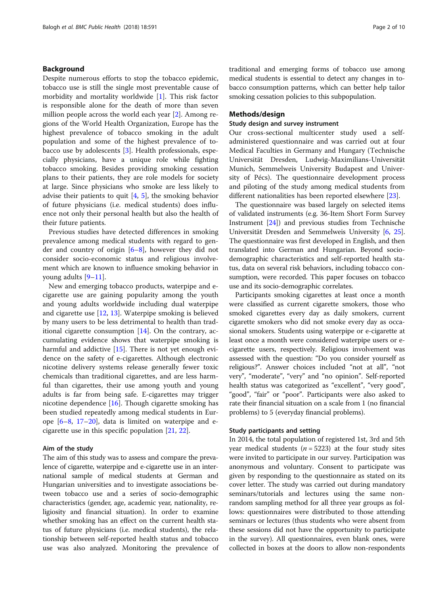## Background

Despite numerous efforts to stop the tobacco epidemic, tobacco use is still the single most preventable cause of morbidity and mortality worldwide [\[1](#page-8-0)]. This risk factor is responsible alone for the death of more than seven million people across the world each year [[2](#page-8-0)]. Among regions of the World Health Organization, Europe has the highest prevalence of tobacco smoking in the adult population and some of the highest prevalence of tobacco use by adolescents [\[3](#page-8-0)]. Health professionals, especially physicians, have a unique role while fighting tobacco smoking. Besides providing smoking cessation plans to their patients, they are role models for society at large. Since physicians who smoke are less likely to advise their patients to quit  $[4, 5]$  $[4, 5]$  $[4, 5]$ , the smoking behavior of future physicians (i.e. medical students) does influence not only their personal health but also the health of their future patients.

Previous studies have detected differences in smoking prevalence among medical students with regard to gender and country of origin  $[6–8]$  $[6–8]$  $[6–8]$  $[6–8]$  $[6–8]$ , however they did not consider socio-economic status and religious involvement which are known to influence smoking behavior in young adults  $[9-11]$  $[9-11]$  $[9-11]$ .

New and emerging tobacco products, waterpipe and ecigarette use are gaining popularity among the youth and young adults worldwide including dual waterpipe and cigarette use [[12,](#page-9-0) [13\]](#page-9-0). Waterpipe smoking is believed by many users to be less detrimental to health than traditional cigarette consumption [[14](#page-9-0)]. On the contrary, accumulating evidence shows that waterpipe smoking is harmful and addictive [[15\]](#page-9-0). There is not yet enough evidence on the safety of e-cigarettes. Although electronic nicotine delivery systems release generally fewer toxic chemicals than traditional cigarettes, and are less harmful than cigarettes, their use among youth and young adults is far from being safe. E-cigarettes may trigger nicotine dependence [[16](#page-9-0)]. Though cigarette smoking has been studied repeatedly among medical students in Europe  $[6-8, 17-20]$  $[6-8, 17-20]$  $[6-8, 17-20]$  $[6-8, 17-20]$  $[6-8, 17-20]$  $[6-8, 17-20]$  $[6-8, 17-20]$  $[6-8, 17-20]$ , data is limited on waterpipe and ecigarette use in this specific population [\[21,](#page-9-0) [22\]](#page-9-0).

## Aim of the study

The aim of this study was to assess and compare the prevalence of cigarette, waterpipe and e-cigarette use in an international sample of medical students at German and Hungarian universities and to investigate associations between tobacco use and a series of socio-demographic characteristics (gender, age, academic year, nationality, religiosity and financial situation). In order to examine whether smoking has an effect on the current health status of future physicians (i.e. medical students), the relationship between self-reported health status and tobacco use was also analyzed. Monitoring the prevalence of traditional and emerging forms of tobacco use among medical students is essential to detect any changes in tobacco consumption patterns, which can better help tailor smoking cessation policies to this subpopulation.

## Methods/design

### Study design and survey instrument

Our cross-sectional multicenter study used a selfadministered questionnaire and was carried out at four Medical Faculties in Germany and Hungary (Technische Universität Dresden, Ludwig-Maximilians-Universität Munich, Semmelweis University Budapest and University of Pécs). The questionnaire development process and piloting of the study among medical students from different nationalities has been reported elsewhere [\[23\]](#page-9-0).

The questionnaire was based largely on selected items of validated instruments (e.g. 36-Item Short Form Survey Instrument [\[24](#page-9-0)]) and previous studies from Technische Universität Dresden and Semmelweis University [\[6](#page-9-0), [25](#page-9-0)]. The questionnaire was first developed in English, and then translated into German and Hungarian. Beyond sociodemographic characteristics and self-reported health status, data on several risk behaviors, including tobacco consumption, were recorded. This paper focuses on tobacco use and its socio-demographic correlates.

Participants smoking cigarettes at least once a month were classified as current cigarette smokers, those who smoked cigarettes every day as daily smokers, current cigarette smokers who did not smoke every day as occasional smokers. Students using waterpipe or e-cigarette at least once a month were considered waterpipe users or ecigarette users, respectively. Religious involvement was assessed with the question: "Do you consider yourself as religious?". Answer choices included "not at all", "not very", "moderate", "very" and "no opinion". Self-reported health status was categorized as "excellent", "very good", "good", "fair" or "poor". Participants were also asked to rate their financial situation on a scale from 1 (no financial problems) to 5 (everyday financial problems).

#### Study participants and setting

In 2014, the total population of registered 1st, 3rd and 5th year medical students ( $n = 5223$ ) at the four study sites were invited to participate in our survey. Participation was anonymous and voluntary. Consent to participate was given by responding to the questionnaire as stated on its cover letter. The study was carried out during mandatory seminars/tutorials and lectures using the same nonrandom sampling method for all three year groups as follows: questionnaires were distributed to those attending seminars or lectures (thus students who were absent from these sessions did not have the opportunity to participate in the survey). All questionnaires, even blank ones, were collected in boxes at the doors to allow non-respondents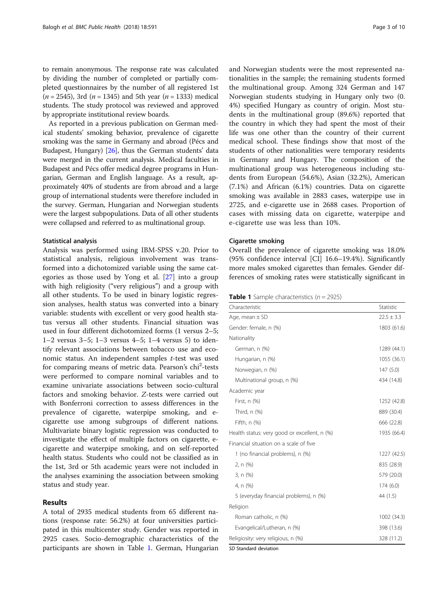to remain anonymous. The response rate was calculated by dividing the number of completed or partially completed questionnaires by the number of all registered 1st  $(n = 2545)$ , 3rd  $(n = 1345)$  and 5th year  $(n = 1333)$  medical students. The study protocol was reviewed and approved by appropriate institutional review boards.

As reported in a previous publication on German medical students' smoking behavior, prevalence of cigarette smoking was the same in Germany and abroad (Pécs and Budapest, Hungary) [\[26\]](#page-9-0), thus the German students' data were merged in the current analysis. Medical faculties in Budapest and Pécs offer medical degree programs in Hungarian, German and English language. As a result, approximately 40% of students are from abroad and a large group of international students were therefore included in the survey. German, Hungarian and Norwegian students were the largest subpopulations. Data of all other students were collapsed and referred to as multinational group.

#### Statistical analysis

Analysis was performed using IBM-SPSS v.20. Prior to statistical analysis, religious involvement was transformed into a dichotomized variable using the same categories as those used by Yong et al. [[27\]](#page-9-0) into a group with high religiosity ("very religious") and a group with all other students. To be used in binary logistic regression analyses, health status was converted into a binary variable: students with excellent or very good health status versus all other students. Financial situation was used in four different dichotomized forms (1 versus 2–5; 1–2 versus 3–5; 1–3 versus 4–5; 1–4 versus 5) to identify relevant associations between tobacco use and economic status. An independent samples t-test was used for comparing means of metric data. Pearson's chi<sup>2</sup>-tests were performed to compare nominal variables and to examine univariate associations between socio-cultural factors and smoking behavior. Z-tests were carried out with Bonferroni correction to assess differences in the prevalence of cigarette, waterpipe smoking, and ecigarette use among subgroups of different nations. Multivariate binary logistic regression was conducted to investigate the effect of multiple factors on cigarette, ecigarette and waterpipe smoking, and on self-reported health status. Students who could not be classified as in the 1st, 3rd or 5th academic years were not included in the analyses examining the association between smoking status and study year.

#### Results

A total of 2935 medical students from 65 different nations (response rate: 56.2%) at four universities participated in this multicenter study. Gender was reported in 2925 cases. Socio-demographic characteristics of the participants are shown in Table 1. German, Hungarian and Norwegian students were the most represented nationalities in the sample; the remaining students formed the multinational group. Among 324 German and 147 Norwegian students studying in Hungary only two (0. 4%) specified Hungary as country of origin. Most students in the multinational group (89.6%) reported that the country in which they had spent the most of their life was one other than the country of their current medical school. These findings show that most of the students of other nationalities were temporary residents in Germany and Hungary. The composition of the multinational group was heterogeneous including students from European (54.6%), Asian (32.2%), American (7.1%) and African (6.1%) countries. Data on cigarette smoking was available in 2883 cases, waterpipe use in 2725, and e-cigarette use in 2688 cases. Proportion of cases with missing data on cigarette, waterpipe and e-cigarette use was less than 10%.

#### Cigarette smoking

Overall the prevalence of cigarette smoking was 18.0% (95% confidence interval [CI] 16.6–19.4%). Significantly more males smoked cigarettes than females. Gender differences of smoking rates were statistically significant in

|  |  | <b>Table 1</b> Sample characteristics ( $n = 2925$ ) |  |
|--|--|------------------------------------------------------|--|
|  |  |                                                      |  |

| Characteristic                               | Statistic      |
|----------------------------------------------|----------------|
| Age, mean $\pm$ SD                           | $22.5 \pm 3.3$ |
| Gender: female, n (%)                        | 1803 (61.6)    |
| Nationality                                  |                |
| German, n (%)                                | 1289 (44.1)    |
| Hungarian, n (%)                             | 1055 (36.1)    |
| Norwegian, n (%)                             | 147(5.0)       |
| Multinational group, n (%)                   | 434 (14.8)     |
| Academic year                                |                |
| First, n (%)                                 | 1252 (42.8)    |
| Third, $n$ $(\%)$                            | 889 (30.4)     |
| Fifth, $n$ $(\%)$                            | 666 (22.8)     |
| Health status: very good or excellent, n (%) | 1935 (66.4)    |
| Financial situation on a scale of five       |                |
| 1 (no financial problems), n (%)             | 1227 (42.5)    |
| 2, n (%)                                     | 835 (28.9)     |
| $3, n$ (%)                                   | 579 (20.0)     |
| 4, n (%)                                     | 174 (6.0)      |
| 5 (everyday financial problems), n (%)       | 44 (1.5)       |
| Religion                                     |                |
| Roman catholic, n (%)                        | 1002 (34.3)    |
| Evangelical/Lutheran, n (%)                  | 398 (13.6)     |
| Religiosity: very religious, n (%)           | 328 (11.2)     |

SD Standard deviation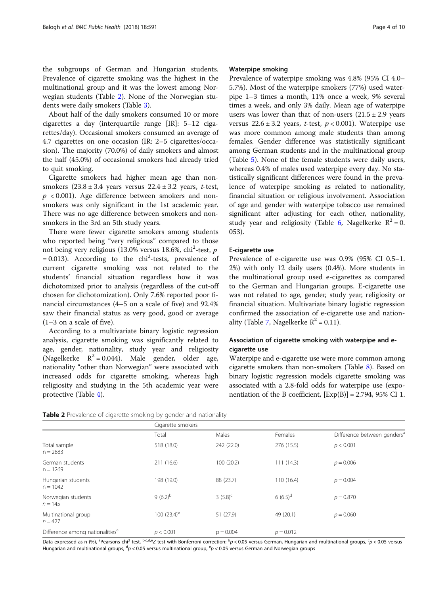the subgroups of German and Hungarian students. Prevalence of cigarette smoking was the highest in the multinational group and it was the lowest among Norwegian students (Table 2). None of the Norwegian students were daily smokers (Table [3](#page-4-0)).

About half of the daily smokers consumed 10 or more cigarettes a day (interquartile range [IR]: 5–12 cigarettes/day). Occasional smokers consumed an average of 4.7 cigarettes on one occasion (IR: 2–5 cigarettes/occasion). The majority (70.0%) of daily smokers and almost the half (45.0%) of occasional smokers had already tried to quit smoking.

Cigarette smokers had higher mean age than nonsmokers  $(23.8 \pm 3.4)$  years versus  $22.4 \pm 3.2$  years, t-test,  $p < 0.001$ ). Age difference between smokers and nonsmokers was only significant in the 1st academic year. There was no age difference between smokers and nonsmokers in the 3rd an 5th study years.

There were fewer cigarette smokers among students who reported being "very religious" compared to those not being very religious (13.0% versus 18.6%, chi $^2$ -test,  $p$  $= 0.013$ ). According to the chi<sup>2</sup>-tests, prevalence of current cigarette smoking was not related to the students' financial situation regardless how it was dichotomized prior to analysis (regardless of the cut-off chosen for dichotomization). Only 7.6% reported poor financial circumstances (4–5 on a scale of five) and 92.4% saw their financial status as very good, good or average (1–3 on a scale of five).

According to a multivariate binary logistic regression analysis, cigarette smoking was significantly related to age, gender, nationality, study year and religiosity (Nagelkerke  $R^2 = 0.044$ ). Male gender, older age, nationality "other than Norwegian" were associated with increased odds for cigarette smoking, whereas high religiosity and studying in the 5th academic year were protective (Table [4\)](#page-4-0).

#### Waterpipe smoking

Prevalence of waterpipe smoking was 4.8% (95% CI 4.0– 5.7%). Most of the waterpipe smokers (77%) used waterpipe 1–3 times a month, 11% once a week, 9% several times a week, and only 3% daily. Mean age of waterpipe users was lower than that of non-users  $(21.5 \pm 2.9 \text{ years})$ versus  $22.6 \pm 3.2$  years, *t*-test,  $p < 0.001$ ). Waterpipe use was more common among male students than among females. Gender difference was statistically significant among German students and in the multinational group (Table [5\)](#page-5-0). None of the female students were daily users, whereas 0.4% of males used waterpipe every day. No statistically significant differences were found in the prevalence of waterpipe smoking as related to nationality, financial situation or religious involvement. Association of age and gender with waterpipe tobacco use remained significant after adjusting for each other, nationality, study year and religiosity (Table [6,](#page-5-0) Nagelkerke  $R^2 = 0$ . 053).

## E-cigarette use

Prevalence of e-cigarette use was 0.9% (95% CI 0.5–1. 2%) with only 12 daily users (0.4%). More students in the multinational group used e-cigarettes as compared to the German and Hungarian groups. E-cigarette use was not related to age, gender, study year, religiosity or financial situation. Multivariate binary logistic regression confirmed the association of e-cigarette use and nation-ality (Table [7,](#page-6-0) Nagelkerke  $R^2 = 0.11$ ).

## Association of cigarette smoking with waterpipe and ecigarette use

Waterpipe and e-cigarette use were more common among cigarette smokers than non-smokers (Table [8\)](#page-6-0). Based on binary logistic regression models cigarette smoking was associated with a 2.8-fold odds for waterpipe use (exponentiation of the B coefficient,  $[Exp(B)] = 2.794$ , 95% CI 1.

| Table 2 Prevalence of cigarette smoking by gender and nationality |  |  |  |
|-------------------------------------------------------------------|--|--|--|
|-------------------------------------------------------------------|--|--|--|

|                                                                                                                                                                                                              | Cigarette smokers         |              |             |                                         |  |
|--------------------------------------------------------------------------------------------------------------------------------------------------------------------------------------------------------------|---------------------------|--------------|-------------|-----------------------------------------|--|
|                                                                                                                                                                                                              | Total                     | Males        | Females     | Difference between genders <sup>a</sup> |  |
| Total sample<br>$n = 2883$                                                                                                                                                                                   | 518 (18.0)                | 242 (22.0)   | 276 (15.5)  | p < 0.001                               |  |
| German students<br>$n = 1269$                                                                                                                                                                                | 211 (16.6)                | 100(20.2)    | 111(14.3)   | $p = 0.006$                             |  |
| Hungarian students<br>$n = 1042$                                                                                                                                                                             | 198 (19.0)                | 88 (23.7)    | 110(16.4)   | $p = 0.004$                             |  |
| Norwegian students<br>$n = 145$                                                                                                                                                                              | 9 $(6.2)^b$               | $3(5.8)^{c}$ | $6(6.5)^d$  | $p = 0.870$                             |  |
| Multinational group<br>$n = 427$                                                                                                                                                                             | 100 $(23.4)$ <sup>e</sup> | 51 (27.9)    | 49 (20.1)   | $p = 0.060$                             |  |
| Difference among nationalities <sup>a</sup>                                                                                                                                                                  | p < 0.001                 | $p = 0.004$  | $p = 0.012$ |                                         |  |
| Data expressed as n (%), <sup>a</sup> Pearsons chi <sup>2</sup> -test, <sup>b.c.d.e</sup> Z-test with Bonferroni correction: $b$ < 0.05 versus German, Hungarian and multinational groups, $c$ < 0.05 versus |                           |              |             |                                         |  |

Hungarian and multinational groups,  $^d\!p$  < 0.05 versus multinational group,  $^e\!p$  < 0.05 versus German and Norwegian groups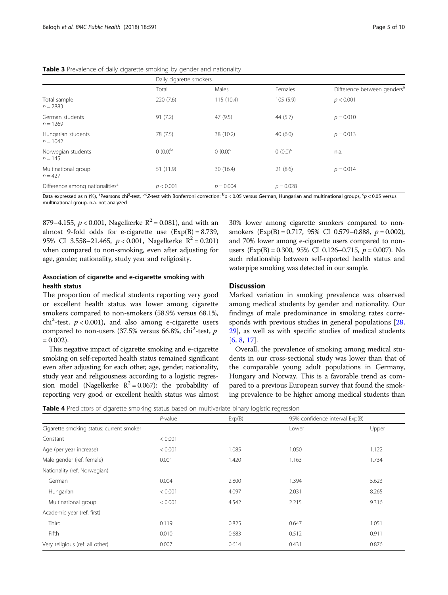|                                                                                                                                                                                                                                | Daily cigarette smokers |              |              |                                         |  |
|--------------------------------------------------------------------------------------------------------------------------------------------------------------------------------------------------------------------------------|-------------------------|--------------|--------------|-----------------------------------------|--|
|                                                                                                                                                                                                                                | Total                   | Males        | Females      | Difference between genders <sup>®</sup> |  |
| Total sample<br>$n = 2883$                                                                                                                                                                                                     | 220(7.6)                | 115(10.4)    | 105(5.9)     | p < 0.001                               |  |
| German students<br>n = 1269                                                                                                                                                                                                    | 91(7.2)                 | 47 (9.5)     | 44 (5.7)     | $p = 0.010$                             |  |
| Hungarian students<br>$n = 1042$                                                                                                                                                                                               | 78 (7.5)                | 38 (10.2)    | 40(6.0)      | $p = 0.013$                             |  |
| Norwegian students<br>$n = 145$                                                                                                                                                                                                | $0(0.0)^b$              | $0(0.0)^{c}$ | $0(0.0)^{c}$ | n.a.                                    |  |
| Multinational group<br>n = 427                                                                                                                                                                                                 | 51 (11.9)               | 30(16.4)     | 21(8.6)      | $p = 0.014$                             |  |
| Difference among nationalities <sup>a</sup>                                                                                                                                                                                    | p < 0.001               | $p = 0.004$  | $p = 0.028$  |                                         |  |
| Data expressed as n (%), <sup>a</sup> Pearsons chi <sup>2</sup> -test, <sup>b.c</sup> Z-test with Bonferroni correction: <sup>b</sup> p < 0.05 versus German, Hungarian and multinational groups, <sup>c</sup> p < 0.05 versus |                         |              |              |                                         |  |

<span id="page-4-0"></span>Table 3 Prevalence of daily cigarette smoking by gender and nationality

multinational group, n.a. not analyzed

879–4.155,  $p < 0.001$ , Nagelkerke R<sup>2</sup> = 0.081), and with an almost 9-fold odds for e-cigarette use  $(Exp(B) = 8.739,$ 95% CI 3.558–21.465,  $p < 0.001$ , Nagelkerke R<sup>2</sup> = 0.201) when compared to non-smoking, even after adjusting for age, gender, nationality, study year and religiosity.

## Association of cigarette and e-cigarette smoking with health status

The proportion of medical students reporting very good or excellent health status was lower among cigarette smokers compared to non-smokers (58.9% versus 68.1%, chi<sup>2</sup>-test,  $p < 0.001$ ), and also among e-cigarette users compared to non-users (37.5% versus 66.8%,  $\chi$ hi<sup>2</sup>-test, *p*  $= 0.002$ ).

This negative impact of cigarette smoking and e-cigarette smoking on self-reported health status remained significant even after adjusting for each other, age, gender, nationality, study year and religiousness according to a logistic regression model (Nagelkerke  $R^2 = 0.067$ ): the probability of reporting very good or excellent health status was almost 30% lower among cigarette smokers compared to nonsmokers  $(Exp(B) = 0.717, 95\% \text{ CI } 0.579 - 0.888, p = 0.002)$ , and 70% lower among e-cigarette users compared to nonusers  $(Exp(B) = 0.300, 95\% \text{ CI } 0.126 - 0.715, p = 0.007)$ . No such relationship between self-reported health status and waterpipe smoking was detected in our sample.

## **Discussion**

Marked variation in smoking prevalence was observed among medical students by gender and nationality. Our findings of male predominance in smoking rates corresponds with previous studies in general populations [[28](#page-9-0), [29\]](#page-9-0), as well as with specific studies of medical students [[6,](#page-9-0) [8,](#page-9-0) [17\]](#page-9-0).

Overall, the prevalence of smoking among medical students in our cross-sectional study was lower than that of the comparable young adult populations in Germany, Hungary and Norway. This is a favorable trend as compared to a previous European survey that found the smoking prevalence to be higher among medical students than

**Table 4** Predictors of cigarette smoking status based on multivariate binary logistic regression

|                                          | $P$ -value | Exp(B) | 95% confidence interval Exp(B) |       |
|------------------------------------------|------------|--------|--------------------------------|-------|
| Cigarette smoking status: current smoker |            |        | Lower                          | Upper |
| Constant                                 | < 0.001    |        |                                |       |
| Age (per year increase)                  | < 0.001    | 1.085  | 1.050                          | 1.122 |
| Male gender (ref. female)                | 0.001      | 1.420  | 1.163                          | 1.734 |
| Nationality (ref. Norwegian)             |            |        |                                |       |
| German                                   | 0.004      | 2.800  | 1.394                          | 5.623 |
| Hungarian                                | < 0.001    | 4.097  | 2.031                          | 8.265 |
| Multinational group                      | < 0.001    | 4.542  | 2.215                          | 9.316 |
| Academic year (ref. first)               |            |        |                                |       |
| Third                                    | 0.119      | 0.825  | 0.647                          | 1.051 |
| Fifth                                    | 0.010      | 0.683  | 0.512                          | 0.911 |
| Very religious (ref. all other)          | 0.007      | 0.614  | 0.431                          | 0.876 |
|                                          |            |        |                                |       |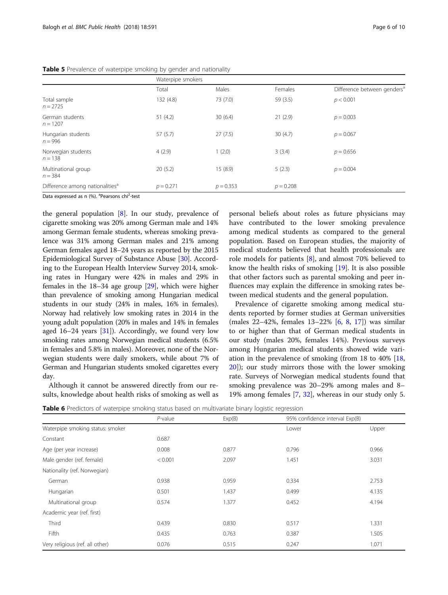|                                                       | Waterpipe smokers |             |             |                                         |  |
|-------------------------------------------------------|-------------------|-------------|-------------|-----------------------------------------|--|
|                                                       | Total             | Males       | Females     | Difference between genders <sup>a</sup> |  |
| Total sample<br>$n = 2725$                            | 132 (4.8)         | 73 (7.0)    | 59(3.5)     | p < 0.001                               |  |
| German students<br>$n = 1207$                         | 51(4.2)           | 30(6.4)     | 21(2.9)     | $p = 0.003$                             |  |
| Hungarian students<br>$n = 996$                       | 57(5.7)           | 27(7.5)     | 30(4.7)     | $p = 0.067$                             |  |
| Norwegian students<br>$n = 138$                       | 4(2.9)            | 1(2.0)      | 3(3.4)      | $p = 0.656$                             |  |
| Multinational group<br>$n = 384$                      | 20(5.2)           | 15(8.9)     | 5(2.3)      | $p = 0.004$                             |  |
| Difference among nationalities <sup>a</sup><br>$\sim$ | $p = 0.271$       | $p = 0.353$ | $p = 0.208$ |                                         |  |

<span id="page-5-0"></span>Table 5 Prevalence of waterpipe smoking by gender and nationality

Data expressed as n (%). <sup>a</sup>Pearsons chi<sup>2</sup>-test

the general population [\[8](#page-9-0)]. In our study, prevalence of cigarette smoking was 20% among German male and 14% among German female students, whereas smoking prevalence was 31% among German males and 21% among German females aged 18–24 years as reported by the 2015 Epidemiological Survey of Substance Abuse [[30](#page-9-0)]. According to the European Health Interview Survey 2014, smoking rates in Hungary were 42% in males and 29% in females in the 18–34 age group [[29](#page-9-0)], which were higher than prevalence of smoking among Hungarian medical students in our study (24% in males, 16% in females). Norway had relatively low smoking rates in 2014 in the young adult population (20% in males and 14% in females aged 16–24 years [\[31\]](#page-9-0)). Accordingly, we found very low smoking rates among Norwegian medical students (6.5% in females and 5.8% in males). Moreover, none of the Norwegian students were daily smokers, while about 7% of German and Hungarian students smoked cigarettes every day.

Although it cannot be answered directly from our results, knowledge about health risks of smoking as well as

personal beliefs about roles as future physicians may have contributed to the lower smoking prevalence among medical students as compared to the general population. Based on European studies, the majority of medical students believed that health professionals are role models for patients [[8\]](#page-9-0), and almost 70% believed to know the health risks of smoking [\[19](#page-9-0)]. It is also possible that other factors such as parental smoking and peer influences may explain the difference in smoking rates between medical students and the general population.

Prevalence of cigarette smoking among medical students reported by former studies at German universities (males 22–42%, females 13–22% [[6,](#page-9-0) [8,](#page-9-0) [17\]](#page-9-0)) was similar to or higher than that of German medical students in our study (males 20%, females 14%). Previous surveys among Hungarian medical students showed wide variation in the prevalence of smoking (from 18 to 40% [[18](#page-9-0), [20\]](#page-9-0)); our study mirrors those with the lower smoking rate. Surveys of Norwegian medical students found that smoking prevalence was 20–29% among males and 8– 19% among females [[7,](#page-9-0) [32\]](#page-9-0), whereas in our study only 5.

**Table 6** Predictors of waterpipe smoking status based on multivariate binary logistic regression

|                                  | $P$ -value | Exp(B) | 95% confidence interval Exp(B) |       |
|----------------------------------|------------|--------|--------------------------------|-------|
| Waterpipe smoking status: smoker |            |        | Lower                          | Upper |
| Constant                         | 0.687      |        |                                |       |
| Age (per year increase)          | 0.008      | 0.877  | 0.796                          | 0.966 |
| Male gender (ref. female)        | < 0.001    | 2.097  | 1.451                          | 3.031 |
| Nationality (ref. Norwegian)     |            |        |                                |       |
| German                           | 0.938      | 0.959  | 0.334                          | 2.753 |
| Hungarian                        | 0.501      | 1.437  | 0.499                          | 4.135 |
| Multinational group              | 0.574      | 1.377  | 0.452                          | 4.194 |
| Academic year (ref. first)       |            |        |                                |       |
| Third                            | 0.439      | 0.830  | 0.517                          | 1.331 |
| Fifth                            | 0.435      | 0.763  | 0.387                          | 1.505 |
| Very religious (ref. all other)  | 0.076      | 0.515  | 0.247                          | 1.071 |
|                                  |            |        |                                |       |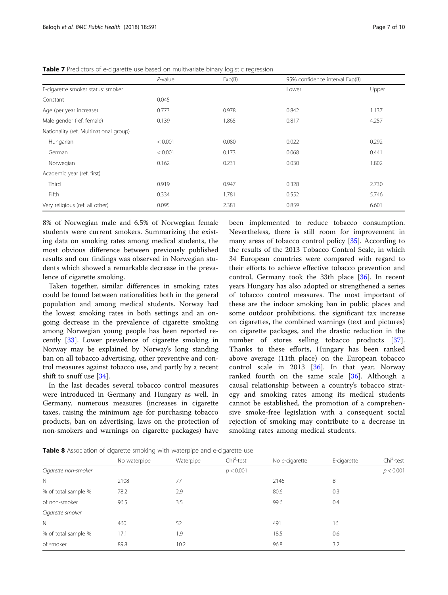|                                        | $P$ -value | Exp(B) | 95% confidence interval Exp(B) |       |
|----------------------------------------|------------|--------|--------------------------------|-------|
| E-cigarette smoker status: smoker      |            |        | Lower                          | Upper |
| Constant                               | 0.045      |        |                                |       |
| Age (per year increase)                | 0.773      | 0.978  | 0.842                          | 1.137 |
| Male gender (ref. female)              | 0.139      | 1.865  | 0.817                          | 4.257 |
| Nationality (ref. Multinational group) |            |        |                                |       |
| Hungarian                              | < 0.001    | 0.080  | 0.022                          | 0.292 |
| German                                 | < 0.001    | 0.173  | 0.068                          | 0.441 |
| Norwegian                              | 0.162      | 0.231  | 0.030                          | 1.802 |
| Academic year (ref. first)             |            |        |                                |       |
| Third                                  | 0.919      | 0.947  | 0.328                          | 2.730 |
| Fifth                                  | 0.334      | 1.781  | 0.552                          | 5.746 |
| Very religious (ref. all other)        | 0.095      | 2.381  | 0.859                          | 6.601 |

<span id="page-6-0"></span>Table 7 Predictors of e-cigarette use based on multivariate binary logistic regression

8% of Norwegian male and 6.5% of Norwegian female students were current smokers. Summarizing the existing data on smoking rates among medical students, the most obvious difference between previously published results and our findings was observed in Norwegian students which showed a remarkable decrease in the prevalence of cigarette smoking.

Taken together, similar differences in smoking rates could be found between nationalities both in the general population and among medical students. Norway had the lowest smoking rates in both settings and an ongoing decrease in the prevalence of cigarette smoking among Norwegian young people has been reported recently [\[33](#page-9-0)]. Lower prevalence of cigarette smoking in Norway may be explained by Norway's long standing ban on all tobacco advertising, other preventive and control measures against tobacco use, and partly by a recent shift to snuff use [\[34](#page-9-0)].

In the last decades several tobacco control measures were introduced in Germany and Hungary as well. In Germany, numerous measures (increases in cigarette taxes, raising the minimum age for purchasing tobacco products, ban on advertising, laws on the protection of non-smokers and warnings on cigarette packages) have been implemented to reduce tobacco consumption. Nevertheless, there is still room for improvement in many areas of tobacco control policy [[35\]](#page-9-0). According to the results of the 2013 Tobacco Control Scale, in which 34 European countries were compared with regard to their efforts to achieve effective tobacco prevention and control, Germany took the 33th place [[36\]](#page-9-0). In recent years Hungary has also adopted or strengthened a series of tobacco control measures. The most important of these are the indoor smoking ban in public places and some outdoor prohibitions, the significant tax increase on cigarettes, the combined warnings (text and pictures) on cigarette packages, and the drastic reduction in the number of stores selling tobacco products [\[37](#page-9-0)]. Thanks to these efforts, Hungary has been ranked above average (11th place) on the European tobacco control scale in 2013 [\[36](#page-9-0)]. In that year, Norway ranked fourth on the same scale [[36\]](#page-9-0). Although a causal relationship between a country's tobacco strategy and smoking rates among its medical students cannot be established, the promotion of a comprehensive smoke-free legislation with a consequent social rejection of smoking may contribute to a decrease in smoking rates among medical students.

Table 8 Association of cigarette smoking with waterpipe and e-cigarette use

|                      | No waterpipe | Waterpipe | $Chi2$ -test | No e-cigarette | E-cigarette | Chi <sup>2</sup> -test |
|----------------------|--------------|-----------|--------------|----------------|-------------|------------------------|
| Cigarette non-smoker |              |           | p < 0.001    |                |             | p < 0.001              |
| $\mathbb N$          | 2108         | 77        |              | 2146           | 8           |                        |
| % of total sample %  | 78.2         | 2.9       |              | 80.6           | 0.3         |                        |
| of non-smoker        | 96.5         | 3.5       |              | 99.6           | 0.4         |                        |
| Cigarette smoker     |              |           |              |                |             |                        |
| $\mathbb N$          | 460          | 52        |              | 491            | 16          |                        |
| % of total sample %  | 17.1         | 1.9       |              | 18.5           | 0.6         |                        |
| of smoker            | 89.8         | 10.2      |              | 96.8           | 3.2         |                        |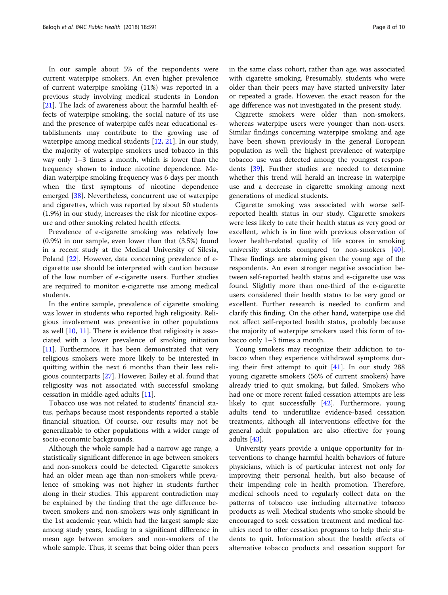In our sample about 5% of the respondents were current waterpipe smokers. An even higher prevalence of current waterpipe smoking (11%) was reported in a previous study involving medical students in London [[21\]](#page-9-0). The lack of awareness about the harmful health effects of waterpipe smoking, the social nature of its use and the presence of waterpipe cafés near educational establishments may contribute to the growing use of waterpipe among medical students [\[12,](#page-9-0) [21\]](#page-9-0). In our study, the majority of waterpipe smokers used tobacco in this way only 1–3 times a month, which is lower than the frequency shown to induce nicotine dependence. Median waterpipe smoking frequency was 6 days per month when the first symptoms of nicotine dependence emerged [\[38](#page-9-0)]. Nevertheless, concurrent use of waterpipe and cigarettes, which was reported by about 50 students (1.9%) in our study, increases the risk for nicotine exposure and other smoking related health effects.

Prevalence of e-cigarette smoking was relatively low (0.9%) in our sample, even lower than that (3.5%) found in a recent study at the Medical University of Silesia, Poland [[22\]](#page-9-0). However, data concerning prevalence of ecigarette use should be interpreted with caution because of the low number of e-cigarette users. Further studies are required to monitor e-cigarette use among medical students.

In the entire sample, prevalence of cigarette smoking was lower in students who reported high religiosity. Religious involvement was preventive in other populations as well [[10](#page-9-0), [11](#page-9-0)]. There is evidence that religiosity is associated with a lower prevalence of smoking initiation [[11\]](#page-9-0). Furthermore, it has been demonstrated that very religious smokers were more likely to be interested in quitting within the next 6 months than their less religious counterparts [[27\]](#page-9-0). However, Bailey et al. found that religiosity was not associated with successful smoking cessation in middle-aged adults [[11](#page-9-0)].

Tobacco use was not related to students' financial status, perhaps because most respondents reported a stable financial situation. Of course, our results may not be generalizable to other populations with a wider range of socio-economic backgrounds.

Although the whole sample had a narrow age range, a statistically significant difference in age between smokers and non-smokers could be detected. Cigarette smokers had an older mean age than non-smokers while prevalence of smoking was not higher in students further along in their studies. This apparent contradiction may be explained by the finding that the age difference between smokers and non-smokers was only significant in the 1st academic year, which had the largest sample size among study years, leading to a significant difference in mean age between smokers and non-smokers of the whole sample. Thus, it seems that being older than peers in the same class cohort, rather than age, was associated with cigarette smoking. Presumably, students who were older than their peers may have started university later or repeated a grade. However, the exact reason for the age difference was not investigated in the present study.

Cigarette smokers were older than non-smokers, whereas waterpipe users were younger than non-users. Similar findings concerning waterpipe smoking and age have been shown previously in the general European population as well: the highest prevalence of waterpipe tobacco use was detected among the youngest respondents [\[39](#page-9-0)]. Further studies are needed to determine whether this trend will herald an increase in waterpipe use and a decrease in cigarette smoking among next generations of medical students.

Cigarette smoking was associated with worse selfreported health status in our study. Cigarette smokers were less likely to rate their health status as very good or excellent, which is in line with previous observation of lower health-related quality of life scores in smoking university students compared to non-smokers [\[40](#page-9-0)]. These findings are alarming given the young age of the respondents. An even stronger negative association between self-reported health status and e-cigarette use was found. Slightly more than one-third of the e-cigarette users considered their health status to be very good or excellent. Further research is needed to confirm and clarify this finding. On the other hand, waterpipe use did not affect self-reported health status, probably because the majority of waterpipe smokers used this form of tobacco only 1–3 times a month.

Young smokers may recognize their addiction to tobacco when they experience withdrawal symptoms during their first attempt to quit [\[41](#page-9-0)]. In our study 288 young cigarette smokers (56% of current smokers) have already tried to quit smoking, but failed. Smokers who had one or more recent failed cessation attempts are less likely to quit successfully [[42\]](#page-9-0). Furthermore, young adults tend to underutilize evidence-based cessation treatments, although all interventions effective for the general adult population are also effective for young adults [\[43](#page-9-0)].

University years provide a unique opportunity for interventions to change harmful health behaviors of future physicians, which is of particular interest not only for improving their personal health, but also because of their impending role in health promotion. Therefore, medical schools need to regularly collect data on the patterns of tobacco use including alternative tobacco products as well. Medical students who smoke should be encouraged to seek cessation treatment and medical faculties need to offer cessation programs to help their students to quit. Information about the health effects of alternative tobacco products and cessation support for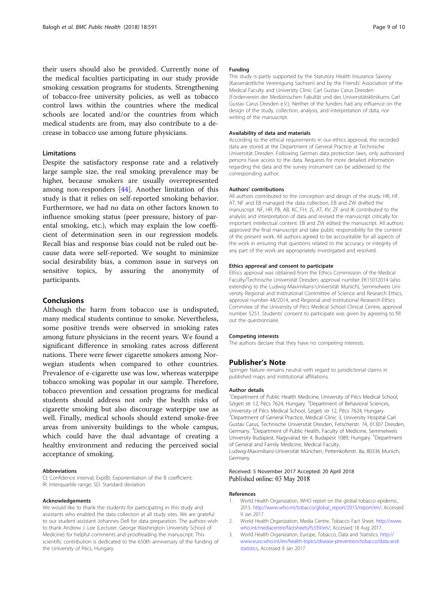<span id="page-8-0"></span>their users should also be provided. Currently none of the medical faculties participating in our study provide smoking cessation programs for students. Strengthening of tobacco-free university policies, as well as tobacco control laws within the countries where the medical schools are located and/or the countries from which medical students are from, may also contribute to a decrease in tobacco use among future physicians.

## Limitations

Despite the satisfactory response rate and a relatively large sample size, the real smoking prevalence may be higher, because smokers are usually overrepresented among non-responders [[44\]](#page-9-0). Another limitation of this study is that it relies on self-reported smoking behavior. Furthermore, we had no data on other factors known to influence smoking status (peer pressure, history of parental smoking, etc.), which may explain the low coefficient of determination seen in our regression models. Recall bias and response bias could not be ruled out because data were self-reported. We sought to minimize social desirability bias, a common issue in surveys on sensitive topics, by assuring the anonymity of participants.

## **Conclusions**

Although the harm from tobacco use is undisputed, many medical students continue to smoke. Nevertheless, some positive trends were observed in smoking rates among future physicians in the recent years. We found a significant difference in smoking rates across different nations. There were fewer cigarette smokers among Norwegian students when compared to other countries. Prevalence of e-cigarette use was low, whereas waterpipe tobacco smoking was popular in our sample. Therefore, tobacco prevention and cessation programs for medical students should address not only the health risks of cigarette smoking but also discourage waterpipe use as well. Finally, medical schools should extend smoke-free areas from university buildings to the whole campus, which could have the dual advantage of creating a healthy environment and reducing the perceived social acceptance of smoking.

#### **Abbreviations**

CI: Confidence interval; Exp(B): Exponentiation of the B coefficient; IR: Interquartile range; SD: Standard deviation

#### Acknowledgements

We would like to thank the students for participating in this study and assistants who enabled the data collection at all study sites. We are grateful to our student assistant Johannes Dell for data preparation. The authors wish to thank Andrew J. Lee (Lecturer, George Washington University School of Medicine) for helpful comments and proofreading the manuscript. This scientific contribution is dedicated to the 650th anniversary of the funding of the University of Pécs, Hungary.

#### Funding

This study is partly supported by the Statutory Health Insurance Saxony (Kassenärztliche Vereinigung Sachsen) and by the Friends' Association of the Medical Faculty and University Clinic Carl Gustav Carus Dresden (Förderverein der Medizinischen Fakultät und des Universitätsklinikums Carl Gustav Carus Dresden e.V.). Neither of the funders had any influence on the design of the study, collection, analysis, and interpretation of data, nor writing of the manuscript.

#### Availability of data and materials

According to the ethical requirements in our ethics approval, the recorded data are stored at the Department of General Practice at Technische Universität Dresden. Following German data protection laws, only authorized persons have access to the data. Requests for more detailed information regarding the data and the survey instrument can be addressed to the corresponding author.

#### Authors' contributions

All authors contributed to the conception and design of the study. HR, HF, AT, NF and EB managed the data collection, EB and ZW drafted the manuscript. NF, HR, PB, AB, KC, FH, JS, AT, KV, ZF and IK contributed to the analysis and interpretation of data and revised the manuscript critically for important intellectual content. EB and ZW edited the manuscript. All authors approved the final manuscript and take public responsibility for the content of the present work. All authors agreed to be accountable for all aspects of the work in ensuring that questions related to the accuracy or integrity of any part of the work are appropriately investigated and resolved.

#### Ethics approval and consent to participate

Ethics approval was obtained from the Ethics Commission of the Medical Faculty/Technische Universität Dresden, approval number EK15012014 (also extending to the Ludwig-Maximilians-Universität Munich), Semmelweis University Regional and Institutional Committee of Science and Research Ethics, approval number 48/2014, and Regional and Institutional Research-Ethics Commitee of the University of Pécs Medical School Clinical Centre, approval number 5251. Students' consent to participate was given by agreeing to fill out the questionnaire.

#### Competing interests

The authors declare that they have no competing interests.

#### Publisher's Note

Springer Nature remains neutral with regard to jurisdictional claims in published maps and institutional affiliations.

#### Author details

<sup>1</sup> Department of Public Health Medicine, University of Pécs Medical School Szigeti str 12, Pécs 7624, Hungary. <sup>2</sup>Department of Behavioral Sciences, University of Pécs Medical School, Szigeti str 12, Pécs 7624, Hungary. <sup>3</sup>Department of General Practice, Medical Clinic 3, University Hospital Carl Gustav Carus, Technische Universität Dresden, Fetscherstr. 74, 01307 Dresden, Germany. <sup>4</sup> Department of Public Health, Faculty of Medicine, Semmelweis University Budapest, Nagyvárad tér 4, Budapest 1089, Hungary. <sup>5</sup>Department of General and Family Medicine, Medical Faculty, Ludwig-Maximilians-Universität München, Pettenkoferstr. 8a, 80336 Munich, Germany.

#### Received: 5 November 2017 Accepted: 20 April 2018 Published online: 03 May 2018

#### References

- World Health Organization, WHO report on the global tobacco epidemic, 2015. [http://www.who.int/tobacco/global\\_report/2015/report/en/](http://www.who.int/tobacco/global_report/2015/report/en/), Accessed 9 Jan 2017.
- 2. World Health Organization, Media Centre, Tobacco Fact Sheet. [http://www.](http://www.who.int/mediacentre/factsheets/fs339/en/) [who.int/mediacentre/factsheets/fs339/en/](http://www.who.int/mediacentre/factsheets/fs339/en/), Accessed 18 Aug 2017.
- 3. World Health Organization, Europe, Tobacco, Data and Statistics. [http://](http://www.euro.who.int/en/health-topics/disease-prevention/tobacco/data-and-statistics) [www.euro.who.int/en/health-topics/disease-prevention/tobacco/data-and](http://www.euro.who.int/en/health-topics/disease-prevention/tobacco/data-and-statistics)[statistics](http://www.euro.who.int/en/health-topics/disease-prevention/tobacco/data-and-statistics), Accessed 9 Jan 2017.